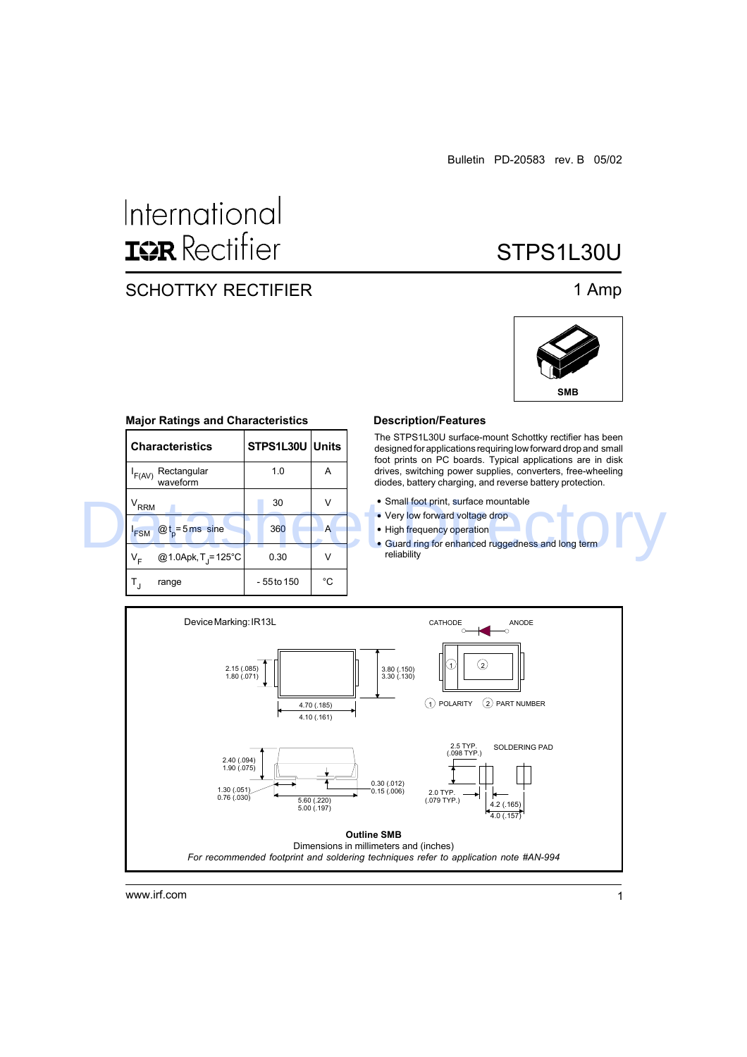# International **ISR** Rectifier

# SCHOTTKY RECTIFIER 1 Amp

STPS1L30U



# **Major Ratings and Characteristics**

|  | <b>Characteristics</b>                             | STPS1L30U Units |    | The STPS1L30U surface-mount Schottky rectifier has been<br>designed for applications requiring low forward drop and small<br>foot prints on PC boards. Typical applications are in disk |  |  |  |  |
|--|----------------------------------------------------|-----------------|----|-----------------------------------------------------------------------------------------------------------------------------------------------------------------------------------------|--|--|--|--|
|  | Rectangular<br>'F(AV)<br>waveform                  | 1.0             | A  | drives, switching power supplies, converters, free-wheeling<br>diodes, battery charging, and reverse battery protection.                                                                |  |  |  |  |
|  | $V_{RRM}$                                          | 30              | ν  | • Small foot print, surface mountable<br>• Very low forward voltage drop                                                                                                                |  |  |  |  |
|  | $Qt_{\text{s}} = 5 \,\text{ms}$ sine<br><b>FSM</b> | 360             | A  | • High frequency operation<br>• Guard ring for enhanced ruggedness and long term                                                                                                        |  |  |  |  |
|  | @1.0Apk, T <sub>1</sub> =125°C<br>v.               | 0.30            | V  | reliability                                                                                                                                                                             |  |  |  |  |
|  | range                                              | - 55 to 150     | °C |                                                                                                                                                                                         |  |  |  |  |

### **Description/Features**

- Small foot print, surface mountable
- Very low forward voltage drop
- High frequency operation
- Guard ring for enhanced ruggedness and long term **reliability**



www.irf.com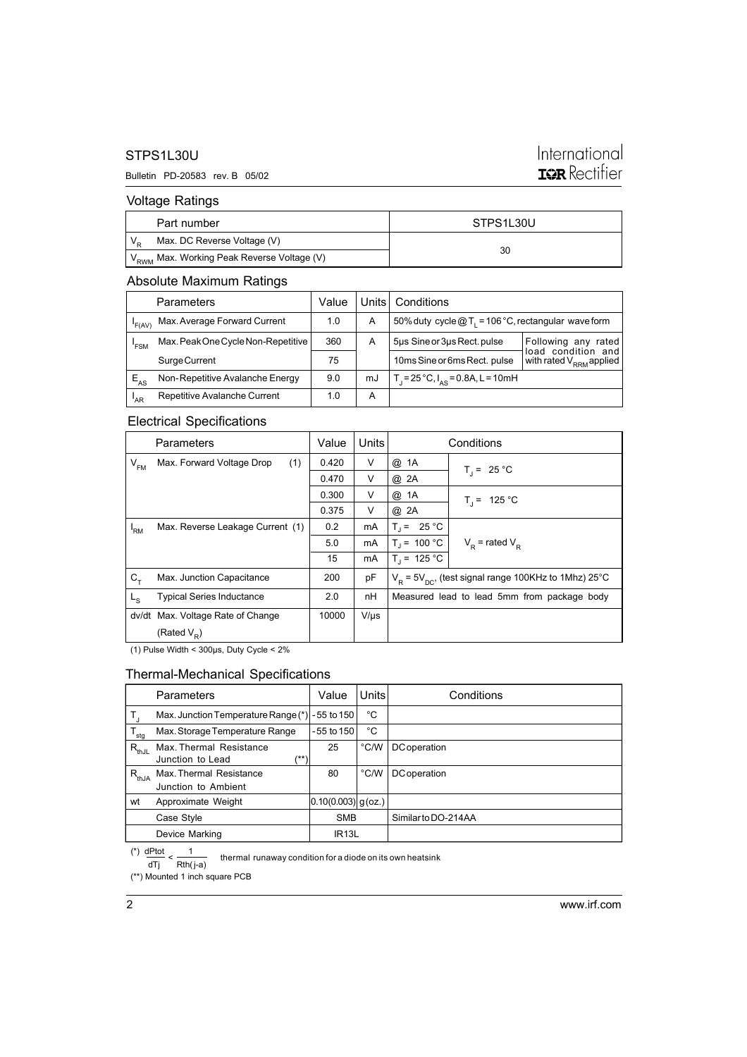# STPS1L30U

## Bulletin PD-20583 rev. B 05/02

# International **ISR** Rectifier

# Voltage Ratings

| Part number                                            | STPS1L30U |  |
|--------------------------------------------------------|-----------|--|
| Max. DC Reverse Voltage (V)                            |           |  |
| V <sub>RWM</sub> Max. Working Peak Reverse Voltage (V) | 30        |  |

# Absolute Maximum Ratings

|          | Parameters                         | Value | Units l | Conditions                                             |                                              |
|----------|------------------------------------|-------|---------|--------------------------------------------------------|----------------------------------------------|
| 'F(AV)   | Max. Average Forward Current       | 1.0   | A       | 50% duty cycle $@T_1 = 106 °C$ , rectangular wave form |                                              |
| 'FSM     | Max. Peak One Cycle Non-Repetitive | 360   | А       | 5µs Sine or 3µs Rect. pulse                            | Following any<br>rated<br>load condition and |
|          | Surge Current                      | 75    |         | 10ms Sine or 6ms Rect. pulse                           | with rated V <sub>RRM</sub> applied          |
| $E_{AS}$ | Non-Repetitive Avalanche Energy    | 9.0   | mJ      | $T_1 = 25 °C$ , $I_{AS} = 0.8$ A, L = 10mH             |                                              |
| 'AR      | Repetitive Avalanche Current       | 1.0   | А       |                                                        |                                              |

# Electrical Specifications

|                | <b>Parameters</b>                 | Value | Units     |                                                                        | Conditions          |
|----------------|-----------------------------------|-------|-----------|------------------------------------------------------------------------|---------------------|
| $V_{FM}$       | (1)<br>Max. Forward Voltage Drop  | 0.420 | v         | @ 1A                                                                   | $T_i = 25 °C$       |
|                |                                   | 0.470 | V         | @ 2A                                                                   |                     |
|                |                                   | 0.300 | V         | @ 1A                                                                   | $T_i = 125 °C$      |
|                |                                   | 0.375 | v         | @ 2A                                                                   |                     |
| 'RM            | Max. Reverse Leakage Current (1)  | 0.2   | mA        | $T_1 = 25 °C$                                                          |                     |
|                |                                   | 5.0   | mA        | $T_i = 100 °C$                                                         | $V_p$ = rated $V_p$ |
|                |                                   | 15    | mA        | $T_1 = 125 °C$                                                         |                     |
| $C_T$          | Max. Junction Capacitance         | 200   | pF        | $V_{\rm p}$ = 5 $V_{\rm nc}$ , (test signal range 100KHz to 1Mhz) 25°C |                     |
| L <sub>S</sub> | <b>Typical Series Inductance</b>  | 2.0   | nH        | Measured lead to lead 5mm from package body                            |                     |
|                | dv/dt Max. Voltage Rate of Change | 10000 | $V/\mu s$ |                                                                        |                     |
|                | (Rated $V_{\rm p}$ )              |       |           |                                                                        |                     |

(1) Pulse Width < 300µs, Duty Cycle < 2%

# Thermal-Mechanical Specifications

|                  | <b>Parameters</b>                                   | Value              | <b>Units</b>  | Conditions          |
|------------------|-----------------------------------------------------|--------------------|---------------|---------------------|
|                  | Max. Junction Temperature Range (*)                 | - 55 to 150        | °C            |                     |
| $T_{\text{stg}}$ | Max. Storage Temperature Range                      | $-55$ to 150       | °C            |                     |
| $R_{thJL}$       | Max. Thermal Resistance<br>/**)<br>Junction to Lead | 25                 | °C/W          | <b>DC</b> operation |
| $R_{thJA}$       | Max. Thermal Resistance<br>Junction to Ambient      | 80                 | $\degree$ C/W | <b>DC</b> operation |
| wt               | Approximate Weight                                  | 0.10(0.003) g(oz.) |               |                     |
|                  | Case Style                                          | <b>SMB</b>         |               | Similar to DO-214AA |
|                  | Device Marking                                      | IR <sub>13</sub> L |               |                     |

(\*\*) Mounted 1 inch square PCB thermal runaway condition for a diode on its own heatsink dTj Rth( j-a)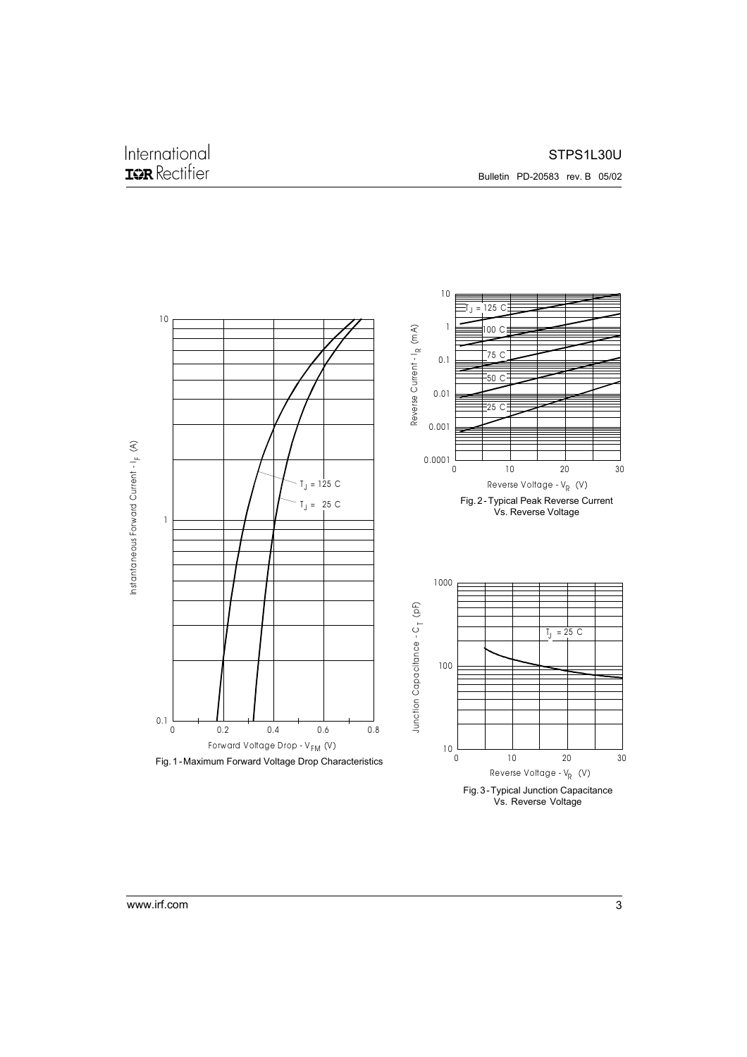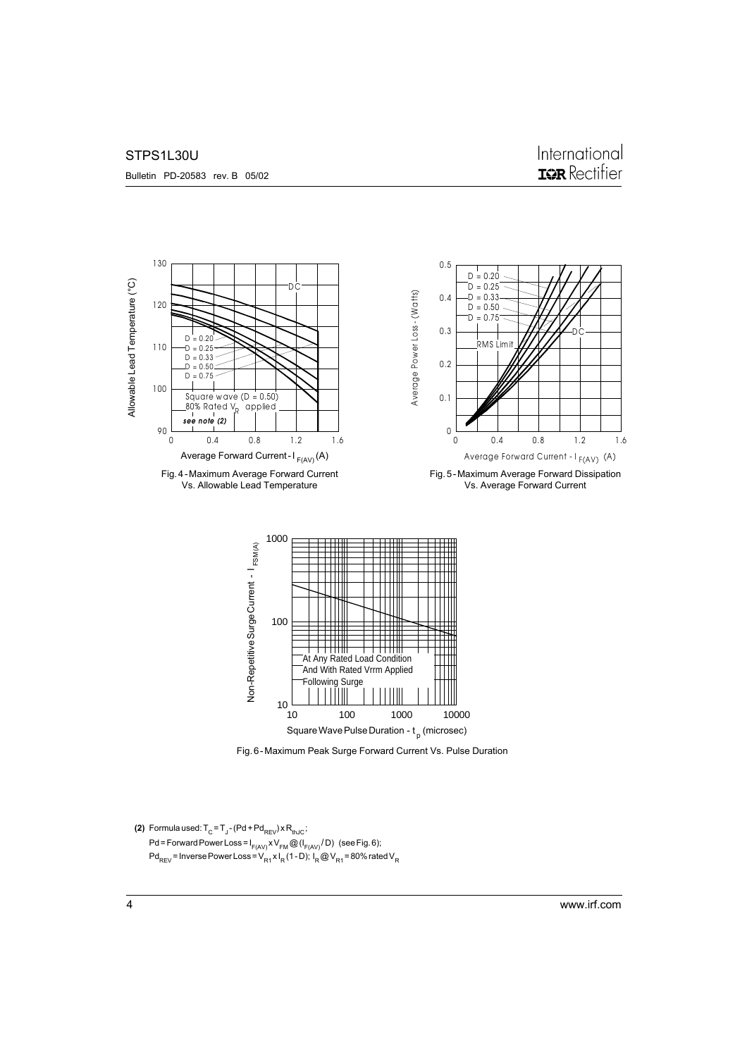### STPS1L30U



Fig. 6 - Maximum Peak Surge Forward Current Vs. Pulse Duration

```
(2) Formula used: T_{\text{C}} = T_{\text{J}} - (Pd + Pd_{\text{REV}}) \times R_{\text{thJC}};Pd = Forward Power Loss = I_{F(AV)} XV_{FM} @ (I_{F(AV)} / D) (see Fig. 6);
Pd_{REV} = Inverse Power Loss = V_{R1}^{\prime} x I<sub>R</sub> (1 - D); I<sub>R</sub> @ V_{R1} = 80% rated V<sub>R</sub>
```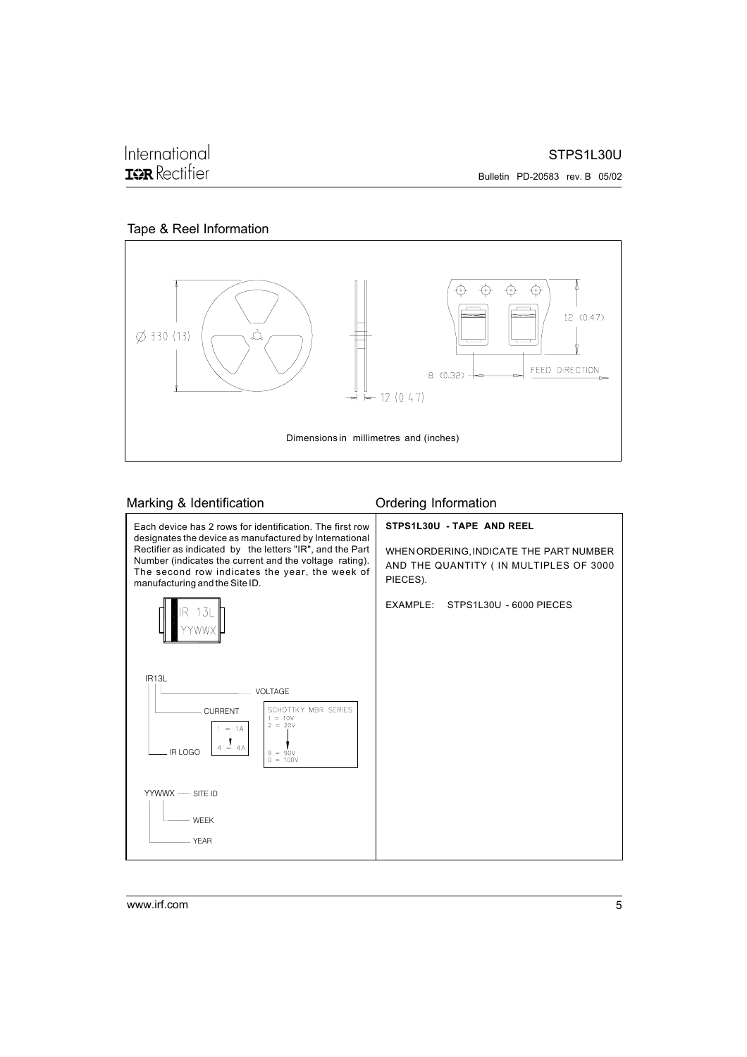⊕  $\oplus$ ↔ Æ 12 (0.47) Ø 330 (13) FEED DIRECTION 8  $(0.32)$  +  $12(0.47)$ Dimensions in millimetres and (inches)

# Tape & Reel Information

# Marking & Identification **Marking & Identification**